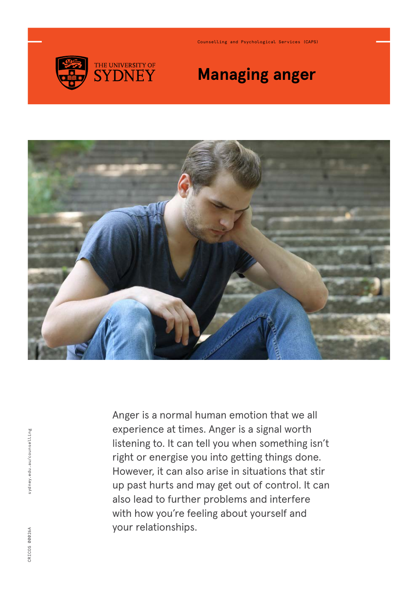

Counselling and Psychological Services (CAPS)

# **Managing anger**



Anger is a normal human emotion that we all experience at times. Anger is a signal worth listening to. It can tell you when something isn't right or energise you into getting things done. However, it can also arise in situations that stir up past hurts and may get out of control. It can also lead to further problems and interfere with how you're feeling about yourself and your relationships.